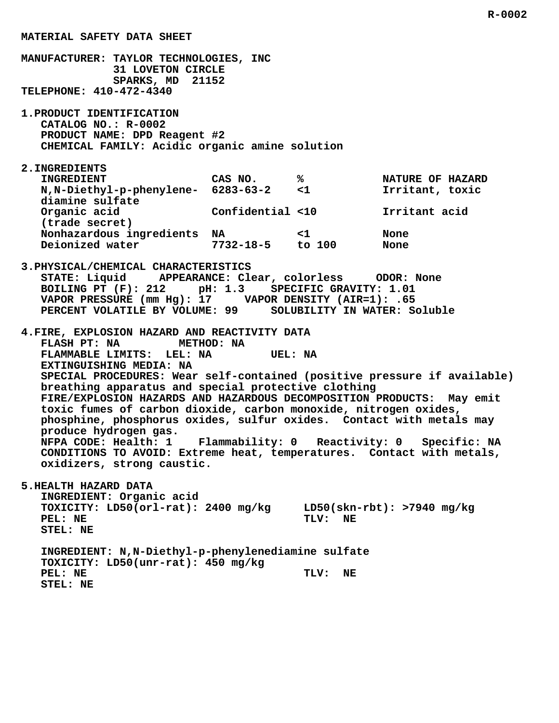## **MATERIAL SAFETY DATA SHEET**

 **MANUFACTURER: TAYLOR TECHNOLOGIES, INC 31 LOVETON CIRCLE SPARKS, MD 21152 TELEPHONE: 410-472-4340**

 **1.PRODUCT IDENTIFICATION CATALOG NO.: R-0002 PRODUCT NAME: DPD Reagent #2 CHEMICAL FAMILY: Acidic organic amine solution**

## **2.INGREDIENTS**

| <b>INGREDIENT</b>                                      | CAS NO.          | ℁        | NATURE OF HAZARD |
|--------------------------------------------------------|------------------|----------|------------------|
| N, N-Diethyl-p-phenylene- 6283-63-2<br>diamine sulfate |                  | $\leq$ 1 | Irritant, toxic  |
| Organic acid<br>(trade secret)                         | Confidential <10 |          | Irritant acid    |
| Nonhazardous ingredients                               | NA               | $\leq$ 1 | None             |
| Deionized water                                        | $7732 - 18 - 5$  | to $100$ | None             |

 **3.PHYSICAL/CHEMICAL CHARACTERISTICS STATE: Liquid APPEARANCE: Clear, colorless ODOR: None BOILING PT (F): 212 pH: 1.3 SPECIFIC GRAVITY: 1.01 VAPOR PRESSURE (mm Hg): 17 VAPOR DENSITY (AIR=1): .65 PERCENT VOLATILE BY VOLUME: 99 SOLUBILITY IN WATER: Soluble**

 **4.FIRE, EXPLOSION HAZARD AND REACTIVITY DATA FLASH PT: NA METHOD: NA FLAMMABLE LIMITS: LEL: NA UEL: NA EXTINGUISHING MEDIA: NA SPECIAL PROCEDURES: Wear self-contained (positive pressure if available) breathing apparatus and special protective clothing FIRE/EXPLOSION HAZARDS AND HAZARDOUS DECOMPOSITION PRODUCTS: May emit toxic fumes of carbon dioxide, carbon monoxide, nitrogen oxides, phosphine, phosphorus oxides, sulfur oxides. Contact with metals may produce hydrogen gas. NFPA CODE: Health: 1 Flammability: 0 Reactivity: 0 Specific: NA CONDITIONS TO AVOID: Extreme heat, temperatures. Contact with metals, oxidizers, strong caustic.**

 **5.HEALTH HAZARD DATA**

 **INGREDIENT: Organic acid TOXICITY: LD50(orl-rat): 2400 mg/kg LD50(skn-rbt): >7940 mg/kg** PEL: NE TLV: NE  **STEL: NE**

 **INGREDIENT: N,N-Diethyl-p-phenylenediamine sulfate TOXICITY: LD50(unr-rat): 450 mg/kg** PEL: NE TLV: NE  **STEL: NE**